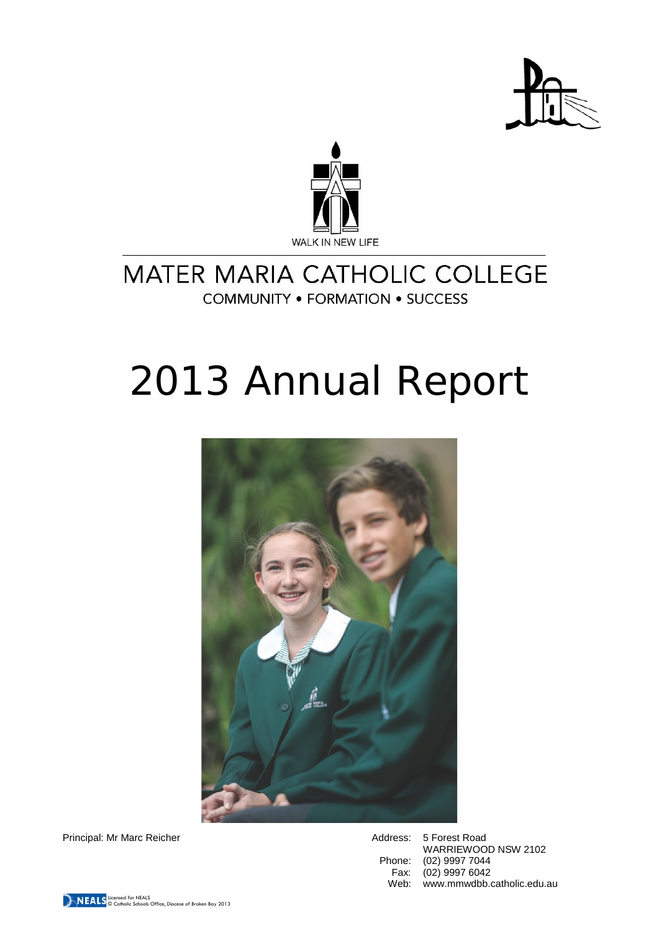



# MATER MARIA CATHOLIC COLLEGE **COMMUNITY . FORMATION . SUCCESS**

# 2013 Annual Report



Principal: Mr Marc Reicher **Address: 5 Forest Road** 

WARRIEWOOD NSW 2102 Phone: (02) 9997 7044<br>Fax: (02) 9997 6042  $(02)$  9997 6042 Web: www.mmwdbb.catholic.edu.au

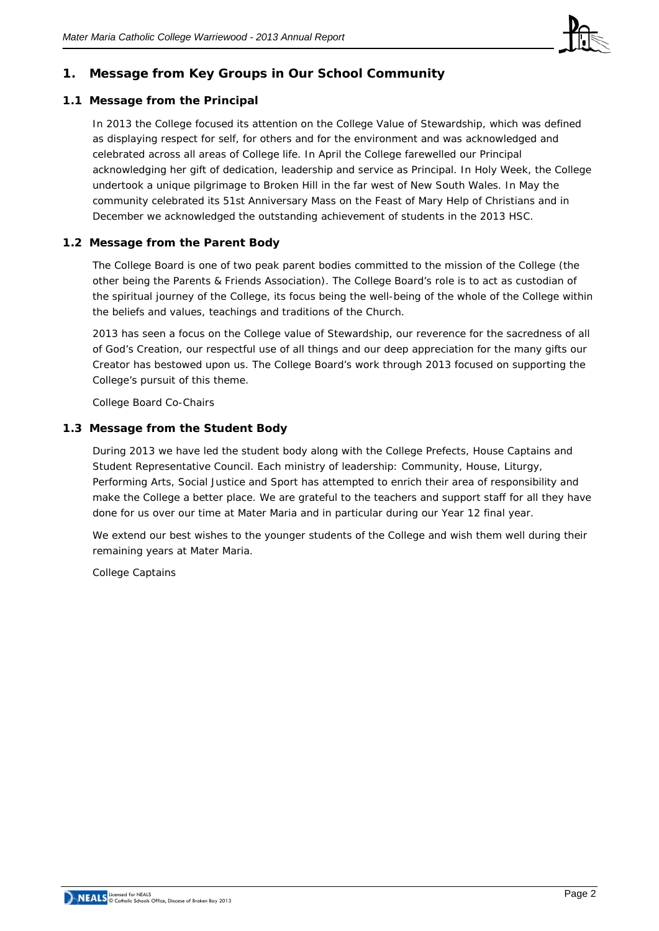

# **1. Message from Key Groups in Our School Community**

# **1.1 Message from the Principal**

In 2013 the College focused its attention on the College Value of Stewardship, which was defined as displaying respect for self, for others and for the environment and was acknowledged and celebrated across all areas of College life. In April the College farewelled our Principal acknowledging her gift of dedication, leadership and service as Principal. In Holy Week, the College undertook a unique pilgrimage to Broken Hill in the far west of New South Wales. In May the community celebrated its 51st Anniversary Mass on the Feast of Mary Help of Christians and in December we acknowledged the outstanding achievement of students in the 2013 HSC.

# **1.2 Message from the Parent Body**

The College Board is one of two peak parent bodies committed to the mission of the College (the other being the Parents & Friends Association). The College Board's role is to act as custodian of the spiritual journey of the College, its focus being the well-being of the whole of the College within the beliefs and values, teachings and traditions of the Church.

2013 has seen a focus on the College value of Stewardship, our reverence for the sacredness of all of God's Creation, our respectful use of all things and our deep appreciation for the many gifts our Creator has bestowed upon us. The College Board's work through 2013 focused on supporting the College's pursuit of this theme.

*College Board Co-Chairs*

# **1.3 Message from the Student Body**

During 2013 we have led the student body along with the College Prefects, House Captains and Student Representative Council. Each ministry of leadership: Community, House, Liturgy, Performing Arts, Social Justice and Sport has attempted to enrich their area of responsibility and make the College a better place. We are grateful to the teachers and support staff for all they have done for us over our time at Mater Maria and in particular during our Year 12 final year.

We extend our best wishes to the younger students of the College and wish them well during their remaining years at Mater Maria.

*College Captains*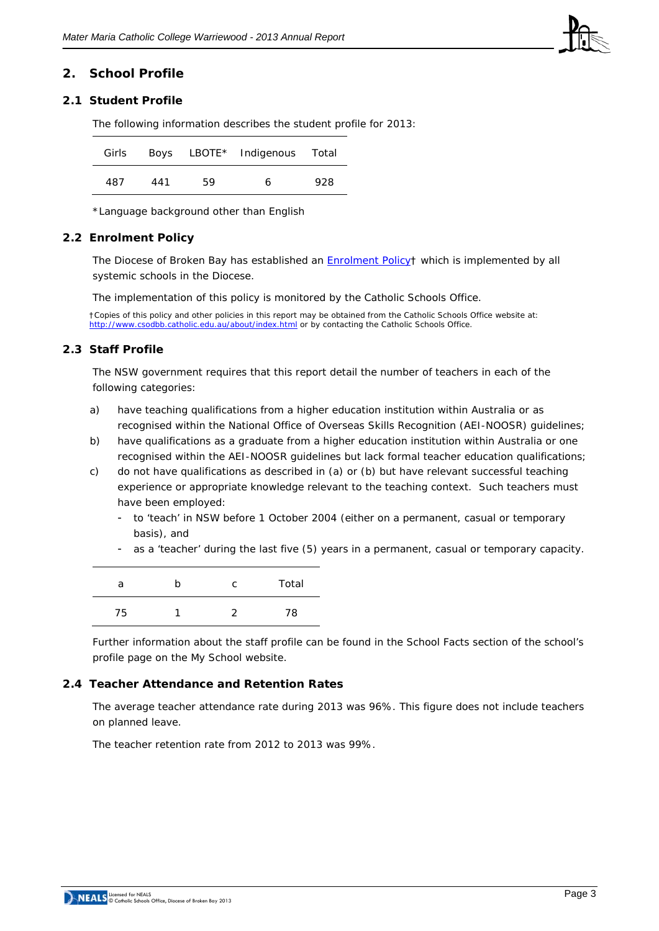

# **2. School Profile**

# **2.1 Student Profile**

The following information describes the student profile for 2013:

| Girls |     |    | Boys LBOTE* Indigenous Total |     |
|-------|-----|----|------------------------------|-----|
| 487   | 441 | 59 | 6                            | 928 |

\*Language background other than English

#### **2.2 Enrolment Policy**

The Diocese of Broken Bay has established an [Enrolment Policy†](http://www.csodbb.catholic.edu.au/_uploads/rsfil/001137_cfbf.pdf) which is implemented by all systemic schools in the Diocese.

The implementation of this policy is monitored by the Catholic Schools Office.

†Copies of this policy and other policies in this report may be obtained from the Catholic Schools Office website at: <http://www.csodbb.catholic.edu.au/about/index.html> or by contacting the Catholic Schools Office.

#### **2.3 Staff Profile**

The NSW government requires that this report detail the number of teachers in each of the following categories:

- a) have teaching qualifications from a higher education institution within Australia or as recognised within the National Office of Overseas Skills Recognition (AEI-NOOSR) guidelines;
- b) have qualifications as a graduate from a higher education institution within Australia or one recognised within the AEI-NOOSR guidelines but lack formal teacher education qualifications;
- c) do not have qualifications as described in (a) or (b) but have relevant successful teaching experience or appropriate knowledge relevant to the teaching context. Such teachers must have been employed:
	- to 'teach' in NSW before 1 October 2004 (either on a permanent, casual or temporary basis), and
	- as a 'teacher' during the last five (5) years in a permanent, casual or temporary capacity.

| а  | n | C | Total |
|----|---|---|-------|
| 75 |   | ำ | 78    |

Further information about the staff profile can be found in the School Facts section of the school's profile page on the My School website.

#### **2.4 Teacher Attendance and Retention Rates**

The average teacher attendance rate during 2013 was 96%. This figure does not include teachers on planned leave.

The teacher retention rate from 2012 to 2013 was 99%.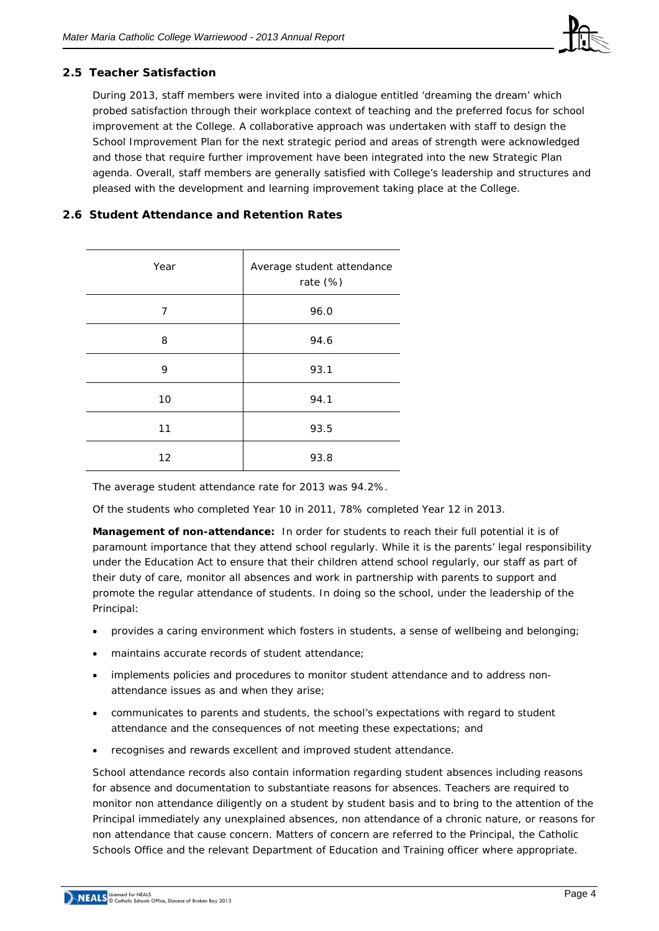

# **2.5 Teacher Satisfaction**

During 2013, staff members were invited into a dialogue entitled 'dreaming the dream' which probed satisfaction through their workplace context of teaching and the preferred focus for school improvement at the College. A collaborative approach was undertaken with staff to design the School Improvement Plan for the next strategic period and areas of strength were acknowledged and those that require further improvement have been integrated into the new Strategic Plan agenda. Overall, staff members are generally satisfied with College's leadership and structures and pleased with the development and learning improvement taking place at the College.

# **2.6 Student Attendance and Retention Rates**

| Year | Average student attendance<br>rate $(%)$ |
|------|------------------------------------------|
| 7    | 96.0                                     |
| 8    | 94.6                                     |
| 9    | 93.1                                     |
| 10   | 94.1                                     |
| 11   | 93.5                                     |
| 12   | 93.8                                     |

The average student attendance rate for 2013 was 94.2%.

Of the students who completed Year 10 in 2011, 78% completed Year 12 in 2013.

**Management of non-attendance:** In order for students to reach their full potential it is of paramount importance that they attend school regularly. While it is the parents' legal responsibility under the Education Act to ensure that their children attend school regularly, our staff as part of their duty of care, monitor all absences and work in partnership with parents to support and promote the regular attendance of students. In doing so the school, under the leadership of the Principal:

- provides a caring environment which fosters in students, a sense of wellbeing and belonging;
- maintains accurate records of student attendance:
- implements policies and procedures to monitor student attendance and to address nonattendance issues as and when they arise;
- communicates to parents and students, the school's expectations with regard to student attendance and the consequences of not meeting these expectations; and
- recognises and rewards excellent and improved student attendance.

School attendance records also contain information regarding student absences including reasons for absence and documentation to substantiate reasons for absences. Teachers are required to monitor non attendance diligently on a student by student basis and to bring to the attention of the Principal immediately any unexplained absences, non attendance of a chronic nature, or reasons for non attendance that cause concern. Matters of concern are referred to the Principal, the Catholic Schools Office and the relevant Department of Education and Training officer where appropriate.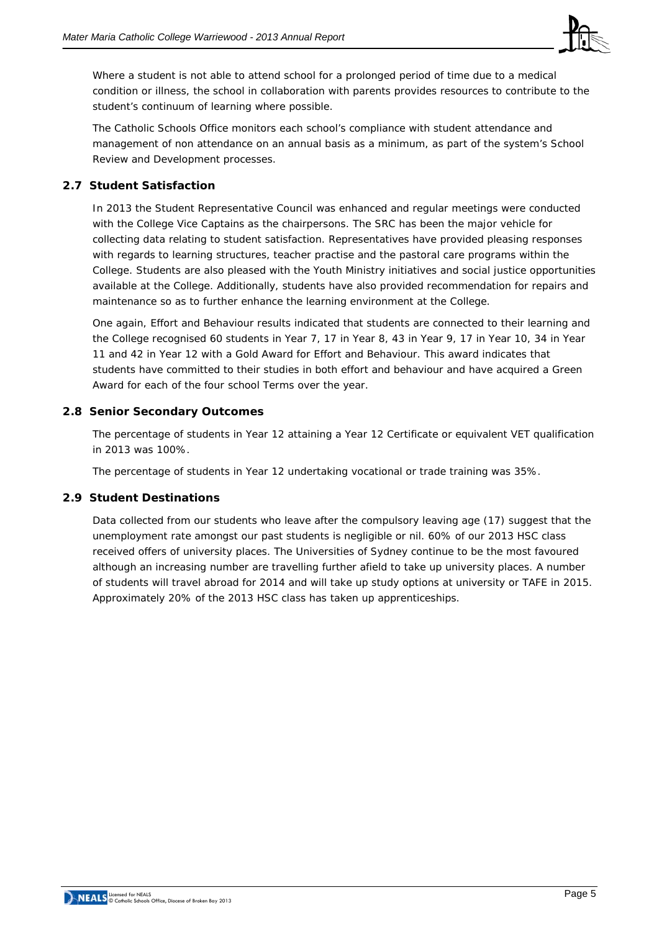

Where a student is not able to attend school for a prolonged period of time due to a medical condition or illness, the school in collaboration with parents provides resources to contribute to the student's continuum of learning where possible.

The Catholic Schools Office monitors each school's compliance with student attendance and management of non attendance on an annual basis as a minimum, as part of the system's School Review and Development processes.

# **2.7 Student Satisfaction**

In 2013 the Student Representative Council was enhanced and regular meetings were conducted with the College Vice Captains as the chairpersons. The SRC has been the major vehicle for collecting data relating to student satisfaction. Representatives have provided pleasing responses with regards to learning structures, teacher practise and the pastoral care programs within the College. Students are also pleased with the Youth Ministry initiatives and social justice opportunities available at the College. Additionally, students have also provided recommendation for repairs and maintenance so as to further enhance the learning environment at the College.

One again, Effort and Behaviour results indicated that students are connected to their learning and the College recognised 60 students in Year 7, 17 in Year 8, 43 in Year 9, 17 in Year 10, 34 in Year 11 and 42 in Year 12 with a Gold Award for Effort and Behaviour. This award indicates that students have committed to their studies in both effort and behaviour and have acquired a Green Award for each of the four school Terms over the year.

# **2.8 Senior Secondary Outcomes**

The percentage of students in Year 12 attaining a Year 12 Certificate or equivalent VET qualification in 2013 was 100%.

The percentage of students in Year 12 undertaking vocational or trade training was 35%.

# **2.9 Student Destinations**

Data collected from our students who leave after the compulsory leaving age (17) suggest that the unemployment rate amongst our past students is negligible or nil. 60% of our 2013 HSC class received offers of university places. The Universities of Sydney continue to be the most favoured although an increasing number are travelling further afield to take up university places. A number of students will travel abroad for 2014 and will take up study options at university or TAFE in 2015. Approximately 20% of the 2013 HSC class has taken up apprenticeships.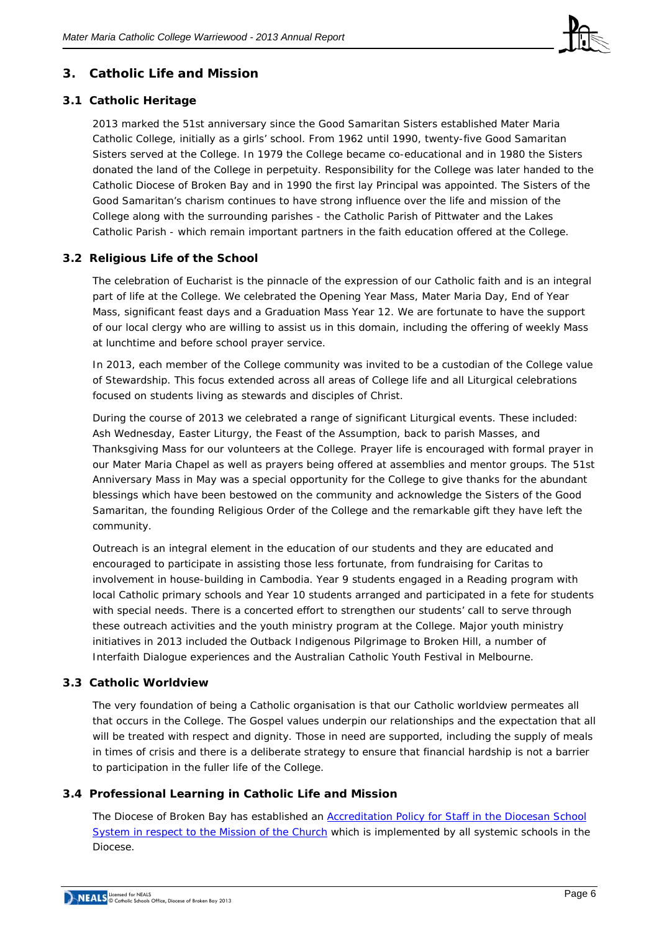

# **3. Catholic Life and Mission**

# **3.1 Catholic Heritage**

2013 marked the 51st anniversary since the Good Samaritan Sisters established Mater Maria Catholic College, initially as a girls' school. From 1962 until 1990, twenty-five Good Samaritan Sisters served at the College. In 1979 the College became co-educational and in 1980 the Sisters donated the land of the College in perpetuity. Responsibility for the College was later handed to the Catholic Diocese of Broken Bay and in 1990 the first lay Principal was appointed. The Sisters of the Good Samaritan's charism continues to have strong influence over the life and mission of the College along with the surrounding parishes - the Catholic Parish of Pittwater and the Lakes Catholic Parish - which remain important partners in the faith education offered at the College.

# **3.2 Religious Life of the School**

The celebration of Eucharist is the pinnacle of the expression of our Catholic faith and is an integral part of life at the College. We celebrated the Opening Year Mass, Mater Maria Day, End of Year Mass, significant feast days and a Graduation Mass Year 12. We are fortunate to have the support of our local clergy who are willing to assist us in this domain, including the offering of weekly Mass at lunchtime and before school prayer service.

In 2013, each member of the College community was invited to be a custodian of the College value of Stewardship. This focus extended across all areas of College life and all Liturgical celebrations focused on students living as stewards and disciples of Christ.

During the course of 2013 we celebrated a range of significant Liturgical events. These included: Ash Wednesday, Easter Liturgy, the Feast of the Assumption, back to parish Masses, and Thanksgiving Mass for our volunteers at the College. Prayer life is encouraged with formal prayer in our Mater Maria Chapel as well as prayers being offered at assemblies and mentor groups. The 51st Anniversary Mass in May was a special opportunity for the College to give thanks for the abundant blessings which have been bestowed on the community and acknowledge the Sisters of the Good Samaritan, the founding Religious Order of the College and the remarkable gift they have left the community.

Outreach is an integral element in the education of our students and they are educated and encouraged to participate in assisting those less fortunate, from fundraising for Caritas to involvement in house-building in Cambodia. Year 9 students engaged in a Reading program with local Catholic primary schools and Year 10 students arranged and participated in a fete for students with special needs. There is a concerted effort to strengthen our students' call to serve through these outreach activities and the youth ministry program at the College. Major youth ministry initiatives in 2013 included the Outback Indigenous Pilgrimage to Broken Hill, a number of Interfaith Dialogue experiences and the Australian Catholic Youth Festival in Melbourne.

# **3.3 Catholic Worldview**

The very foundation of being a Catholic organisation is that our Catholic worldview permeates all that occurs in the College. The Gospel values underpin our relationships and the expectation that all will be treated with respect and dignity. Those in need are supported, including the supply of meals in times of crisis and there is a deliberate strategy to ensure that financial hardship is not a barrier to participation in the fuller life of the College.

# **3.4 Professional Learning in Catholic Life and Mission**

The Diocese of Broken Bay has established an [Accreditation Policy for Staff in the Diocesan School](http://www.csodbb.catholic.edu.au/resources/pdfs/Policy-Rqs_Accrd_Tchrs_RE.pdf)  [System in respect to the Mission of the Church](http://www.csodbb.catholic.edu.au/resources/pdfs/Policy-Rqs_Accrd_Tchrs_RE.pdf) which is implemented by all systemic schools in the Diocese.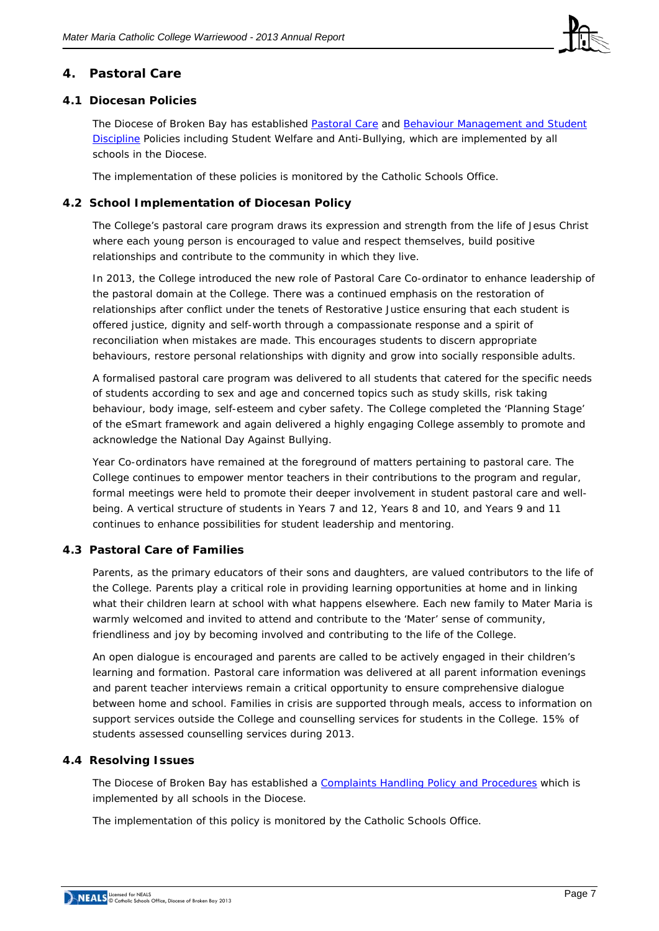

# **4. Pastoral Care**

# **4.1 Diocesan Policies**

The Diocese of Broken Bay has established [Pastoral Care](http://www.csodbb.catholic.edu.au/_uploads/rsfil/002274_ceac.pdf) and Behaviour Management and Student [Discipline](http://www.csodbb.catholic.edu.au/_uploads/rsfil/001133_cffd.pdf) Policies including Student Welfare and Anti-Bullying, which are implemented by all schools in the Diocese.

The implementation of these policies is monitored by the Catholic Schools Office.

# **4.2 School Implementation of Diocesan Policy**

The College's pastoral care program draws its expression and strength from the life of Jesus Christ where each young person is encouraged to value and respect themselves, build positive relationships and contribute to the community in which they live.

In 2013, the College introduced the new role of Pastoral Care Co-ordinator to enhance leadership of the pastoral domain at the College. There was a continued emphasis on the restoration of relationships after conflict under the tenets of Restorative Justice ensuring that each student is offered justice, dignity and self-worth through a compassionate response and a spirit of reconciliation when mistakes are made. This encourages students to discern appropriate behaviours, restore personal relationships with dignity and grow into socially responsible adults.

A formalised pastoral care program was delivered to all students that catered for the specific needs of students according to sex and age and concerned topics such as study skills, risk taking behaviour, body image, self-esteem and cyber safety. The College completed the 'Planning Stage' of the eSmart framework and again delivered a highly engaging College assembly to promote and acknowledge the National Day Against Bullying.

Year Co-ordinators have remained at the foreground of matters pertaining to pastoral care. The College continues to empower mentor teachers in their contributions to the program and regular, formal meetings were held to promote their deeper involvement in student pastoral care and wellbeing. A vertical structure of students in Years 7 and 12, Years 8 and 10, and Years 9 and 11 continues to enhance possibilities for student leadership and mentoring.

# **4.3 Pastoral Care of Families**

Parents, as the primary educators of their sons and daughters, are valued contributors to the life of the College. Parents play a critical role in providing learning opportunities at home and in linking what their children learn at school with what happens elsewhere. Each new family to Mater Maria is warmly welcomed and invited to attend and contribute to the 'Mater' sense of community, friendliness and joy by becoming involved and contributing to the life of the College.

An open dialogue is encouraged and parents are called to be actively engaged in their children's learning and formation. Pastoral care information was delivered at all parent information evenings and parent teacher interviews remain a critical opportunity to ensure comprehensive dialogue between home and school. Families in crisis are supported through meals, access to information on support services outside the College and counselling services for students in the College. 15% of students assessed counselling services during 2013.

# **4.4 Resolving Issues**

The Diocese of Broken Bay has established a [Complaints Handling Policy](http://www.csodbb.catholic.edu.au/_uploads/rsfil/001134_ceae.pdf) and Procedures which is implemented by all schools in the Diocese.

The implementation of this policy is monitored by the Catholic Schools Office.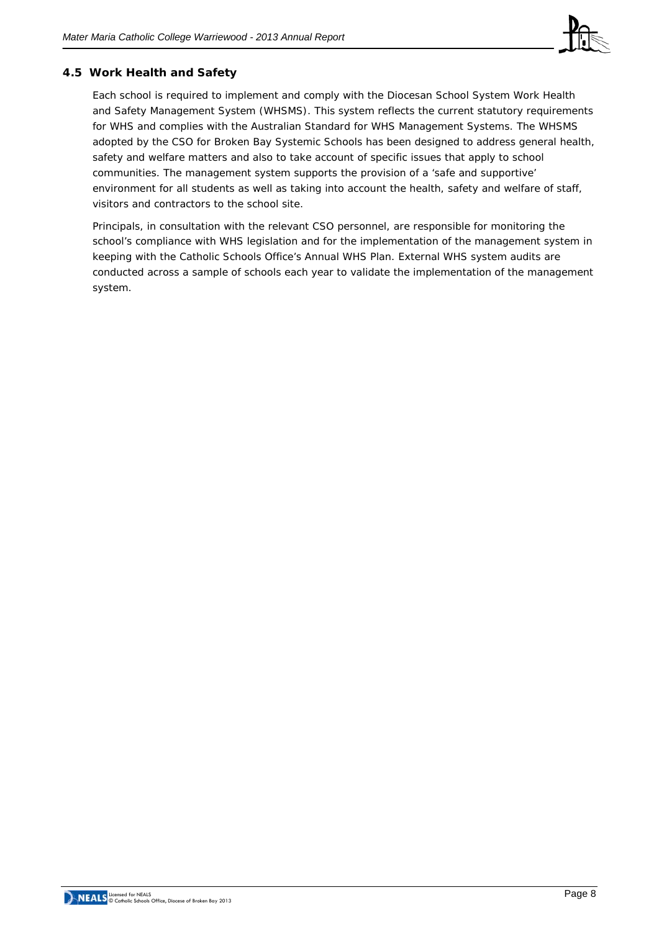

# **4.5 Work Health and Safety**

Each school is required to implement and comply with the Diocesan School System Work Health and Safety Management System (WHSMS). This system reflects the current statutory requirements for WHS and complies with the Australian Standard for WHS Management Systems. The WHSMS adopted by the CSO for Broken Bay Systemic Schools has been designed to address general health, safety and welfare matters and also to take account of specific issues that apply to school communities. The management system supports the provision of a 'safe and supportive' environment for all students as well as taking into account the health, safety and welfare of staff, visitors and contractors to the school site.

Principals, in consultation with the relevant CSO personnel, are responsible for monitoring the school's compliance with WHS legislation and for the implementation of the management system in keeping with the Catholic Schools Office's Annual WHS Plan. External WHS system audits are conducted across a sample of schools each year to validate the implementation of the management system.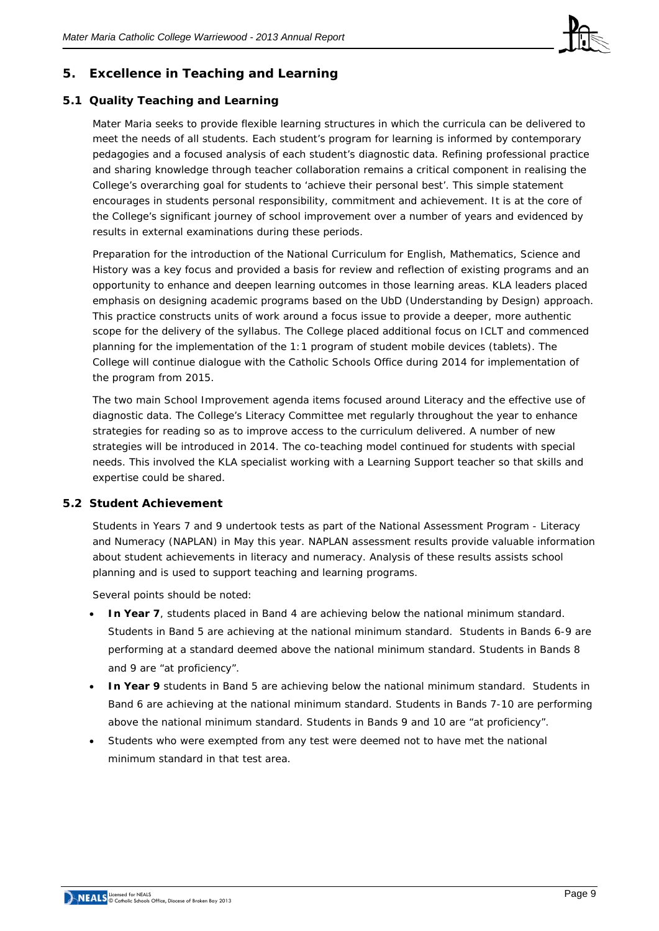

# **5. Excellence in Teaching and Learning**

# **5.1 Quality Teaching and Learning**

Mater Maria seeks to provide flexible learning structures in which the curricula can be delivered to meet the needs of all students. Each student's program for learning is informed by contemporary pedagogies and a focused analysis of each student's diagnostic data. Refining professional practice and sharing knowledge through teacher collaboration remains a critical component in realising the College's overarching goal for students to 'achieve their personal best'. This simple statement encourages in students personal responsibility, commitment and achievement. It is at the core of the College's significant journey of school improvement over a number of years and evidenced by results in external examinations during these periods.

Preparation for the introduction of the National Curriculum for English, Mathematics, Science and History was a key focus and provided a basis for review and reflection of existing programs and an opportunity to enhance and deepen learning outcomes in those learning areas. KLA leaders placed emphasis on designing academic programs based on the UbD (Understanding by Design) approach. This practice constructs units of work around a focus issue to provide a deeper, more authentic scope for the delivery of the syllabus. The College placed additional focus on ICLT and commenced planning for the implementation of the 1:1 program of student mobile devices (tablets). The College will continue dialogue with the Catholic Schools Office during 2014 for implementation of the program from 2015.

The two main School Improvement agenda items focused around Literacy and the effective use of diagnostic data. The College's Literacy Committee met regularly throughout the year to enhance strategies for reading so as to improve access to the curriculum delivered. A number of new strategies will be introduced in 2014. The co-teaching model continued for students with special needs. This involved the KLA specialist working with a Learning Support teacher so that skills and expertise could be shared.

# **5.2 Student Achievement**

Students in Years 7 and 9 undertook tests as part of the National Assessment Program - Literacy and Numeracy (NAPLAN) in May this year. NAPLAN assessment results provide valuable information about student achievements in literacy and numeracy. Analysis of these results assists school planning and is used to support teaching and learning programs.

Several points should be noted:

- **In Year 7**, students placed in Band 4 are achieving below the national minimum standard. Students in Band 5 are achieving at the national minimum standard. Students in Bands 6-9 are performing at a standard deemed above the national minimum standard. Students in Bands 8 and 9 are "at proficiency".
- **In Year 9** students in Band 5 are achieving below the national minimum standard. Students in Band 6 are achieving at the national minimum standard. Students in Bands 7-10 are performing above the national minimum standard. Students in Bands 9 and 10 are "at proficiency".
- Students who were exempted from any test were deemed not to have met the national minimum standard in that test area.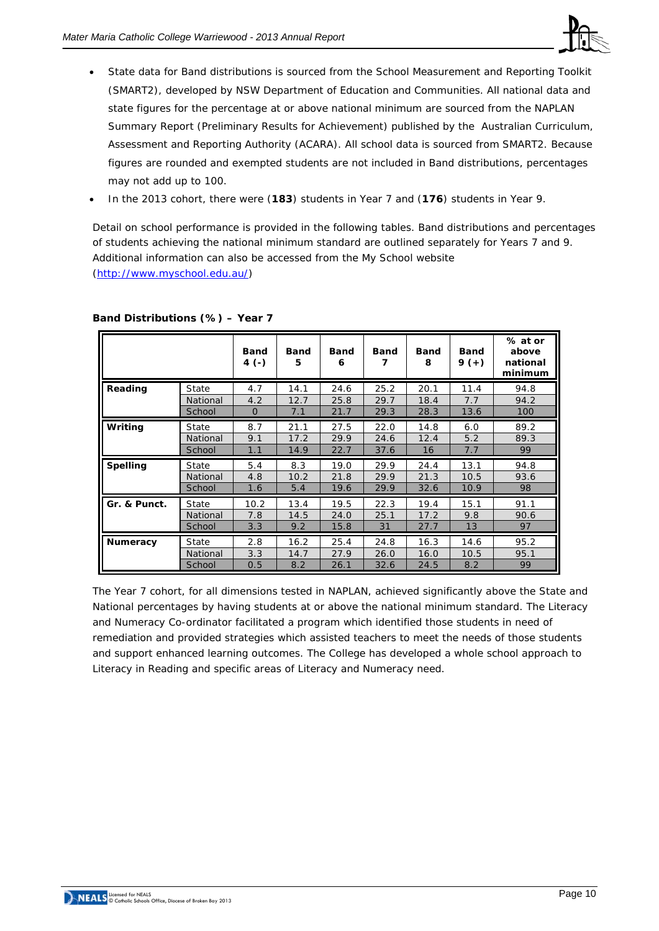

- State data for Band distributions is sourced from the School Measurement and Reporting Toolkit (SMART2), developed by NSW Department of Education and Communities. All national data and state figures for the percentage at or above national minimum are sourced from the NAPLAN Summary Report (Preliminary Results for Achievement) published by the Australian Curriculum, Assessment and Reporting Authority (ACARA). All school data is sourced from SMART2. Because figures are rounded and exempted students are not included in Band distributions, percentages may not add up to 100.
- In the 2013 cohort, there were (**183**) students in Year 7 and (**176**) students in Year 9.

Detail on school performance is provided in the following tables. Band distributions and percentages of students achieving the national minimum standard are outlined separately for Years 7 and 9. Additional information can also be accessed from the My School website [\(http://www.myschool.edu.au/\)](http://www.myschool.edu.au/)

|                 |          | <b>Band</b><br>4 (-) | <b>Band</b><br>5 | <b>Band</b><br>6 | <b>Band</b><br>7 | <b>Band</b><br>8 | <b>Band</b><br>$9 (+)$ | % at or<br>above<br>national<br>minimum |
|-----------------|----------|----------------------|------------------|------------------|------------------|------------------|------------------------|-----------------------------------------|
| Reading         | State    | 4.7                  | 14.1             | 24.6             | 25.2             | 20.1             | 11.4                   | 94.8                                    |
|                 | National | 4.2                  | 12.7             | 25.8             | 29.7             | 18.4             | 7.7                    | 94.2                                    |
|                 | School   | $\mathbf{0}$         | 7.1              | 21.7             | 29.3             | 28.3             | 13.6                   | 100                                     |
| Writing         | State    | 8.7                  | 21.1             | 27.5             | 22.0             | 14.8             | 6.0                    | 89.2                                    |
|                 | National | 9.1                  | 17.2             | 29.9             | 24.6             | 12.4             | 5.2                    | 89.3                                    |
|                 | School   | 1.1                  | 14.9             | 22.7             | 37.6             | 16               | 7.7                    | 99                                      |
| <b>Spelling</b> | State    | 5.4                  | 8.3              | 19.0             | 29.9             | 24.4             | 13.1                   | 94.8                                    |
|                 | National | 4.8                  | 10.2             | 21.8             | 29.9             | 21.3             | 10.5                   | 93.6                                    |
|                 | School   | 1.6                  | 5.4              | 19.6             | 29.9             | 32.6             | 10.9                   | 98                                      |
| Gr. & Punct.    | State    | 10.2                 | 13.4             | 19.5             | 22.3             | 19.4             | 15.1                   | 91.1                                    |
|                 | National | 7.8                  | 14.5             | 24.0             | 25.1             | 17.2             | 9.8                    | 90.6                                    |
|                 | School   | 3.3                  | 9.2              | 15.8             | 31               | 27.7             | 13                     | 97                                      |
| <b>Numeracy</b> | State    | 2.8                  | 16.2             | 25.4             | 24.8             | 16.3             | 14.6                   | 95.2                                    |
|                 | National | 3.3                  | 14.7             | 27.9             | 26.0             | 16.0             | 10.5                   | 95.1                                    |
|                 | School   | 0.5                  | 8.2              | 26.1             | 32.6             | 24.5             | 8.2                    | 99                                      |

#### **Band Distributions (%) – Year 7**

The Year 7 cohort, for all dimensions tested in NAPLAN, achieved significantly above the State and National percentages by having students at or above the national minimum standard. The Literacy and Numeracy Co-ordinator facilitated a program which identified those students in need of remediation and provided strategies which assisted teachers to meet the needs of those students and support enhanced learning outcomes. The College has developed a whole school approach to Literacy in Reading and specific areas of Literacy and Numeracy need.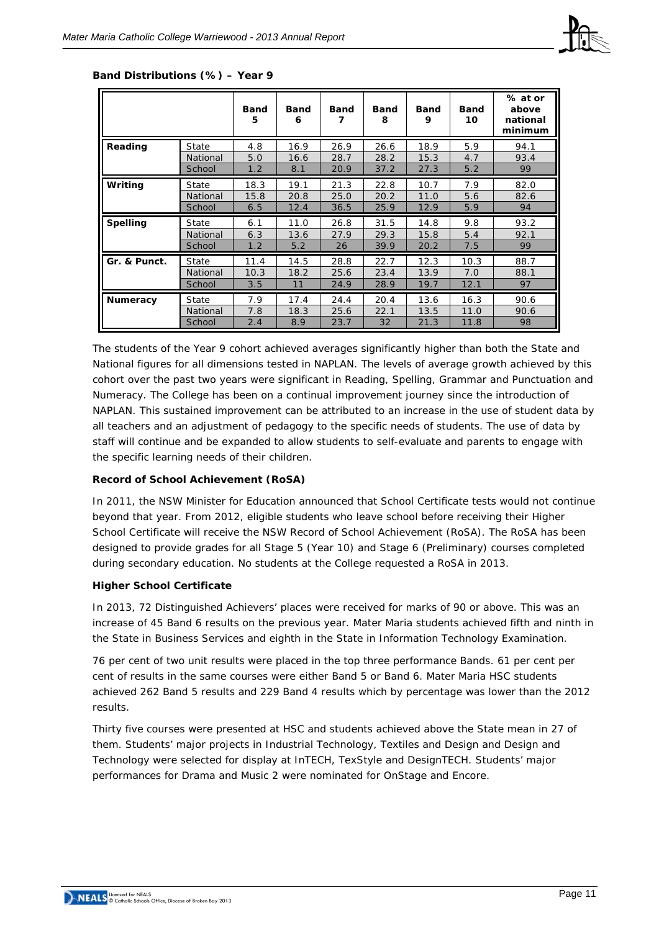

|                 |          | <b>Band</b><br>5 | Band<br>6 | <b>Band</b><br>7 | <b>Band</b><br>8 | <b>Band</b><br>9 | <b>Band</b><br>10 | % at or<br>above<br>national<br>minimum |
|-----------------|----------|------------------|-----------|------------------|------------------|------------------|-------------------|-----------------------------------------|
| Reading         | State    | 4.8              | 16.9      | 26.9             | 26.6             | 18.9             | 5.9               | 94.1                                    |
|                 | National | 5.0              | 16.6      | 28.7             | 28.2             | 15.3             | 4.7               | 93.4                                    |
|                 | School   | 1.2              | 8.1       | 20.9             | 37.2             | 27.3             | 5.2               | 99                                      |
| Writing         | State    | 18.3             | 19.1      | 21.3             | 22.8             | 10.7             | 7.9               | 82.0                                    |
|                 | National | 15.8             | 20.8      | 25.0             | 20.2             | 11.0             | 5.6               | 82.6                                    |
|                 | School   | 6.5              | 12.4      | 36.5             | 25.9             | 12.9             | 5.9               | 94                                      |
| <b>Spelling</b> | State    | 6.1              | 11.0      | 26.8             | 31.5             | 14.8             | 9.8               | 93.2                                    |
|                 | National | 6.3              | 13.6      | 27.9             | 29.3             | 15.8             | 5.4               | 92.1                                    |
|                 | School   | 1.2              | 5.2       | 26               | 39.9             | 20.2             | 7.5               | 99                                      |
| Gr. & Punct.    | State    | 11.4             | 14.5      | 28.8             | 22.7             | 12.3             | 10.3              | 88.7                                    |
|                 | National | 10.3             | 18.2      | 25.6             | 23.4             | 13.9             | 7.0               | 88.1                                    |
|                 | School   | 3.5              | 11        | 24.9             | 28.9             | 19.7             | 12.1              | 97                                      |
| <b>Numeracy</b> | State    | 7.9              | 17.4      | 24.4             | 20.4             | 13.6             | 16.3              | 90.6                                    |
|                 |          |                  |           |                  |                  |                  |                   |                                         |
|                 | National | 7.8              | 18.3      | 25.6             | 22.1             | 13.5             | 11.0              | 90.6                                    |

#### **Band Distributions (%) – Year 9**

The students of the Year 9 cohort achieved averages significantly higher than both the State and National figures for all dimensions tested in NAPLAN. The levels of average growth achieved by this cohort over the past two years were significant in Reading, Spelling, Grammar and Punctuation and Numeracy. The College has been on a continual improvement journey since the introduction of NAPLAN. This sustained improvement can be attributed to an increase in the use of student data by all teachers and an adjustment of pedagogy to the specific needs of students. The use of data by staff will continue and be expanded to allow students to self-evaluate and parents to engage with the specific learning needs of their children.

#### **Record of School Achievement (RoSA)**

In 2011, the NSW Minister for Education announced that School Certificate tests would not continue beyond that year. From 2012, eligible students who leave school before receiving their Higher School Certificate will receive the NSW Record of School Achievement (RoSA). The RoSA has been designed to provide grades for all Stage 5 (Year 10) and Stage 6 (Preliminary) courses completed during secondary education. No students at the College requested a RoSA in 2013.

#### **Higher School Certificate**

In 2013, 72 Distinguished Achievers' places were received for marks of 90 or above. This was an increase of 45 Band 6 results on the previous year. Mater Maria students achieved fifth and ninth in the State in Business Services and eighth in the State in Information Technology Examination.

76 per cent of two unit results were placed in the top three performance Bands. 61 per cent per cent of results in the same courses were either Band 5 or Band 6. Mater Maria HSC students achieved 262 Band 5 results and 229 Band 4 results which by percentage was lower than the 2012 results.

Thirty five courses were presented at HSC and students achieved above the State mean in 27 of them. Students' major projects in Industrial Technology, Textiles and Design and Design and Technology were selected for display at InTECH, TexStyle and DesignTECH. Students' major performances for Drama and Music 2 were nominated for OnStage and Encore.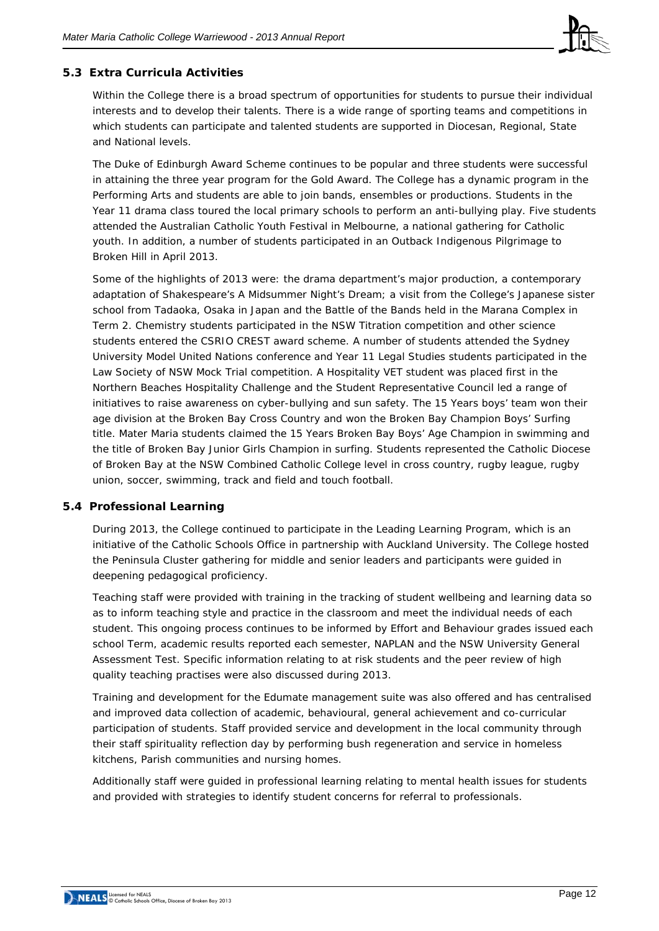

# **5.3 Extra Curricula Activities**

Within the College there is a broad spectrum of opportunities for students to pursue their individual interests and to develop their talents. There is a wide range of sporting teams and competitions in which students can participate and talented students are supported in Diocesan, Regional, State and National levels.

The Duke of Edinburgh Award Scheme continues to be popular and three students were successful in attaining the three year program for the Gold Award. The College has a dynamic program in the Performing Arts and students are able to join bands, ensembles or productions. Students in the Year 11 drama class toured the local primary schools to perform an anti-bullying play. Five students attended the Australian Catholic Youth Festival in Melbourne, a national gathering for Catholic youth. In addition, a number of students participated in an Outback Indigenous Pilgrimage to Broken Hill in April 2013.

Some of the highlights of 2013 were: the drama department's major production, a contemporary adaptation of Shakespeare's A Midsummer Night's Dream; a visit from the College's Japanese sister school from Tadaoka, Osaka in Japan and the Battle of the Bands held in the Marana Complex in Term 2. Chemistry students participated in the NSW Titration competition and other science students entered the CSRIO CREST award scheme. A number of students attended the Sydney University Model United Nations conference and Year 11 Legal Studies students participated in the Law Society of NSW Mock Trial competition. A Hospitality VET student was placed first in the Northern Beaches Hospitality Challenge and the Student Representative Council led a range of initiatives to raise awareness on cyber-bullying and sun safety. The 15 Years boys' team won their age division at the Broken Bay Cross Country and won the Broken Bay Champion Boys' Surfing title. Mater Maria students claimed the 15 Years Broken Bay Boys' Age Champion in swimming and the title of Broken Bay Junior Girls Champion in surfing. Students represented the Catholic Diocese of Broken Bay at the NSW Combined Catholic College level in cross country, rugby league, rugby union, soccer, swimming, track and field and touch football.

# **5.4 Professional Learning**

During 2013, the College continued to participate in the Leading Learning Program, which is an initiative of the Catholic Schools Office in partnership with Auckland University. The College hosted the Peninsula Cluster gathering for middle and senior leaders and participants were guided in deepening pedagogical proficiency.

Teaching staff were provided with training in the tracking of student wellbeing and learning data so as to inform teaching style and practice in the classroom and meet the individual needs of each student. This ongoing process continues to be informed by Effort and Behaviour grades issued each school Term, academic results reported each semester, NAPLAN and the NSW University General Assessment Test. Specific information relating to at risk students and the peer review of high quality teaching practises were also discussed during 2013.

Training and development for the Edumate management suite was also offered and has centralised and improved data collection of academic, behavioural, general achievement and co-curricular participation of students. Staff provided service and development in the local community through their staff spirituality reflection day by performing bush regeneration and service in homeless kitchens, Parish communities and nursing homes.

Additionally staff were guided in professional learning relating to mental health issues for students and provided with strategies to identify student concerns for referral to professionals.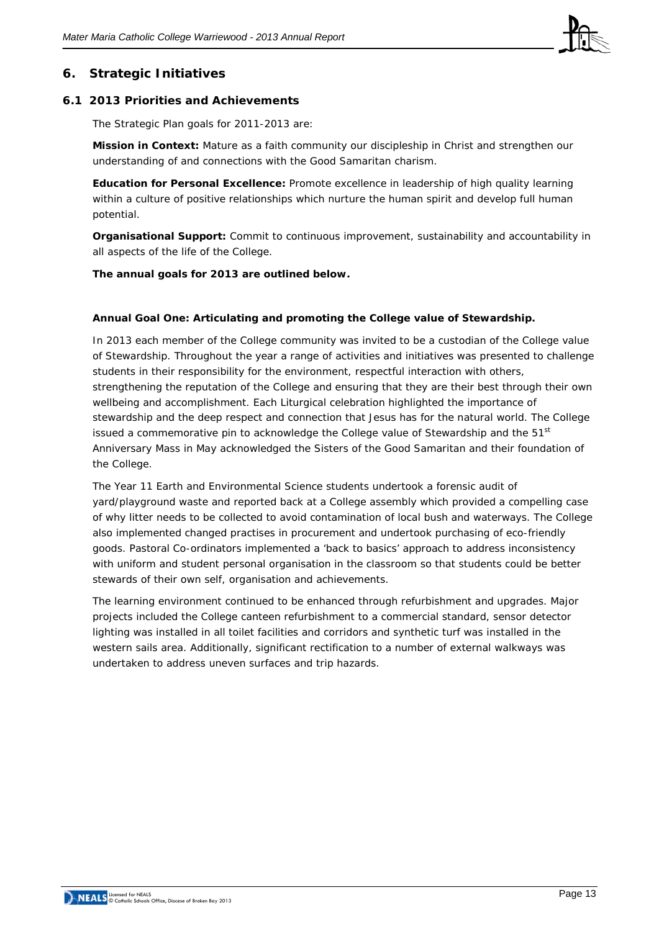

# **6. Strategic Initiatives**

#### **6.1 2013 Priorities and Achievements**

The Strategic Plan goals for 2011-2013 are:

**Mission in Context:** Mature as a faith community our discipleship in Christ and strengthen our understanding of and connections with the Good Samaritan charism.

**Education for Personal Excellence:** Promote excellence in leadership of high quality learning within a culture of positive relationships which nurture the human spirit and develop full human potential.

**Organisational Support:** Commit to continuous improvement, sustainability and accountability in all aspects of the life of the College.

**The annual goals for 2013 are outlined below.**

#### **Annual Goal One: Articulating and promoting the College value of Stewardship.**

In 2013 each member of the College community was invited to be a custodian of the College value of Stewardship. Throughout the year a range of activities and initiatives was presented to challenge students in their responsibility for the environment, respectful interaction with others, strengthening the reputation of the College and ensuring that they are their best through their own wellbeing and accomplishment. Each Liturgical celebration highlighted the importance of stewardship and the deep respect and connection that Jesus has for the natural world. The College issued a commemorative pin to acknowledge the College value of Stewardship and the  $51<sup>st</sup>$ Anniversary Mass in May acknowledged the Sisters of the Good Samaritan and their foundation of the College.

The Year 11 Earth and Environmental Science students undertook a forensic audit of yard/playground waste and reported back at a College assembly which provided a compelling case of why litter needs to be collected to avoid contamination of local bush and waterways. The College also implemented changed practises in procurement and undertook purchasing of eco-friendly goods. Pastoral Co-ordinators implemented a 'back to basics' approach to address inconsistency with uniform and student personal organisation in the classroom so that students could be better stewards of their own self, organisation and achievements.

The learning environment continued to be enhanced through refurbishment and upgrades. Major projects included the College canteen refurbishment to a commercial standard, sensor detector lighting was installed in all toilet facilities and corridors and synthetic turf was installed in the western sails area. Additionally, significant rectification to a number of external walkways was undertaken to address uneven surfaces and trip hazards.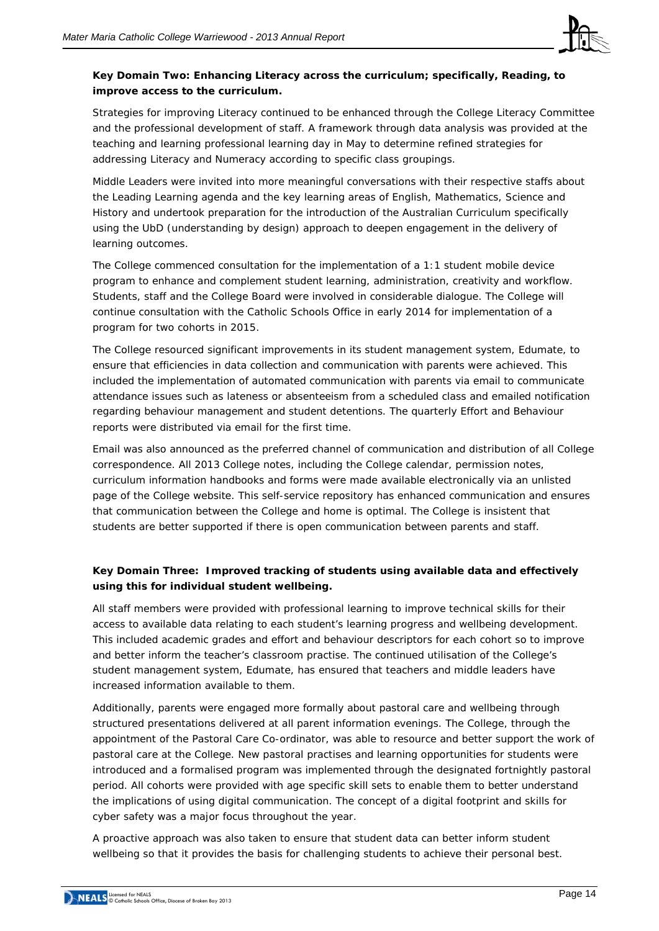

# **Key Domain Two: Enhancing Literacy across the curriculum; specifically, Reading, to improve access to the curriculum.**

Strategies for improving Literacy continued to be enhanced through the College Literacy Committee and the professional development of staff. A framework through data analysis was provided at the teaching and learning professional learning day in May to determine refined strategies for addressing Literacy and Numeracy according to specific class groupings.

Middle Leaders were invited into more meaningful conversations with their respective staffs about the Leading Learning agenda and the key learning areas of English, Mathematics, Science and History and undertook preparation for the introduction of the Australian Curriculum specifically using the UbD (understanding by design) approach to deepen engagement in the delivery of learning outcomes.

The College commenced consultation for the implementation of a 1:1 student mobile device program to enhance and complement student learning, administration, creativity and workflow. Students, staff and the College Board were involved in considerable dialogue. The College will continue consultation with the Catholic Schools Office in early 2014 for implementation of a program for two cohorts in 2015.

The College resourced significant improvements in its student management system, Edumate, to ensure that efficiencies in data collection and communication with parents were achieved. This included the implementation of automated communication with parents via email to communicate attendance issues such as lateness or absenteeism from a scheduled class and emailed notification regarding behaviour management and student detentions. The quarterly Effort and Behaviour reports were distributed via email for the first time.

Email was also announced as the preferred channel of communication and distribution of all College correspondence. All 2013 College notes, including the College calendar, permission notes, curriculum information handbooks and forms were made available electronically via an unlisted page of the College website. This self-service repository has enhanced communication and ensures that communication between the College and home is optimal. The College is insistent that students are better supported if there is open communication between parents and staff.

# **Key Domain Three: Improved tracking of students using available data and effectively using this for individual student wellbeing.**

All staff members were provided with professional learning to improve technical skills for their access to available data relating to each student's learning progress and wellbeing development. This included academic grades and effort and behaviour descriptors for each cohort so to improve and better inform the teacher's classroom practise. The continued utilisation of the College's student management system, Edumate, has ensured that teachers and middle leaders have increased information available to them.

Additionally, parents were engaged more formally about pastoral care and wellbeing through structured presentations delivered at all parent information evenings. The College, through the appointment of the Pastoral Care Co-ordinator, was able to resource and better support the work of pastoral care at the College. New pastoral practises and learning opportunities for students were introduced and a formalised program was implemented through the designated fortnightly pastoral period. All cohorts were provided with age specific skill sets to enable them to better understand the implications of using digital communication. The concept of a digital footprint and skills for cyber safety was a major focus throughout the year.

A proactive approach was also taken to ensure that student data can better inform student wellbeing so that it provides the basis for challenging students to achieve their personal best.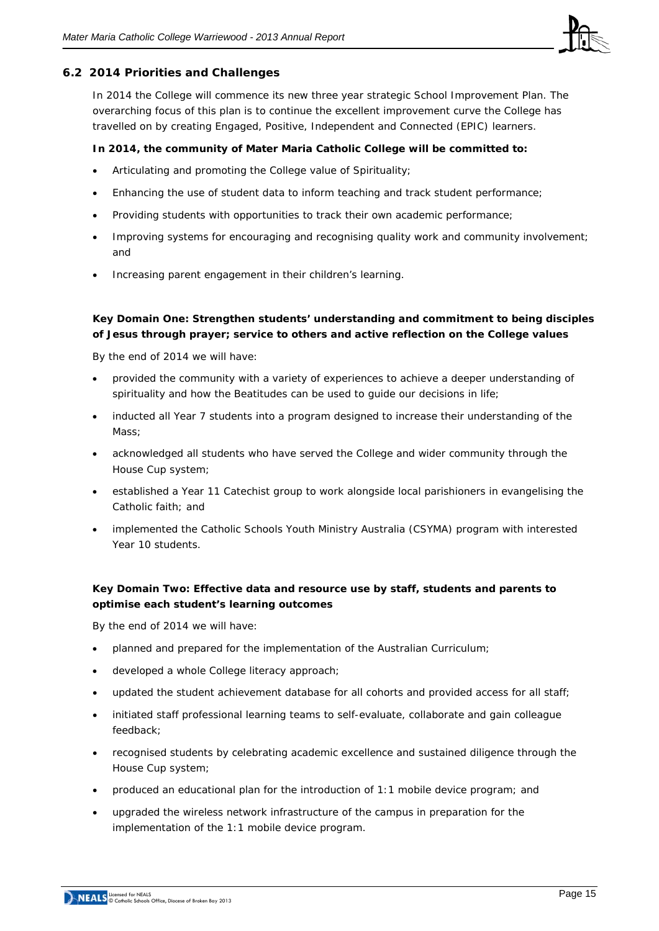

#### **6.2 2014 Priorities and Challenges**

In 2014 the College will commence its new three year strategic School Improvement Plan. The overarching focus of this plan is to continue the excellent improvement curve the College has travelled on by creating Engaged, Positive, Independent and Connected (EPIC) learners.

#### **In 2014, the community of Mater Maria Catholic College will be committed to:**

- Articulating and promoting the College value of Spirituality;
- Enhancing the use of student data to inform teaching and track student performance;
- Providing students with opportunities to track their own academic performance;
- Improving systems for encouraging and recognising quality work and community involvement; and
- Increasing parent engagement in their children's learning.

# **Key Domain One: Strengthen students' understanding and commitment to being disciples of Jesus through prayer; service to others and active reflection on the College values**

By the end of 2014 we will have:

- provided the community with a variety of experiences to achieve a deeper understanding of spirituality and how the Beatitudes can be used to guide our decisions in life;
- inducted all Year 7 students into a program designed to increase their understanding of the Mass;
- acknowledged all students who have served the College and wider community through the House Cup system;
- established a Year 11 Catechist group to work alongside local parishioners in evangelising the Catholic faith; and
- implemented the Catholic Schools Youth Ministry Australia (CSYMA) program with interested Year 10 students.

#### **Key Domain Two: Effective data and resource use by staff, students and parents to optimise each student's learning outcomes**

By the end of 2014 we will have:

- planned and prepared for the implementation of the Australian Curriculum;
- developed a whole College literacy approach;
- updated the student achievement database for all cohorts and provided access for all staff;
- initiated staff professional learning teams to self-evaluate, collaborate and gain colleague feedback;
- recognised students by celebrating academic excellence and sustained diligence through the House Cup system;
- produced an educational plan for the introduction of 1:1 mobile device program; and
- upgraded the wireless network infrastructure of the campus in preparation for the implementation of the 1:1 mobile device program.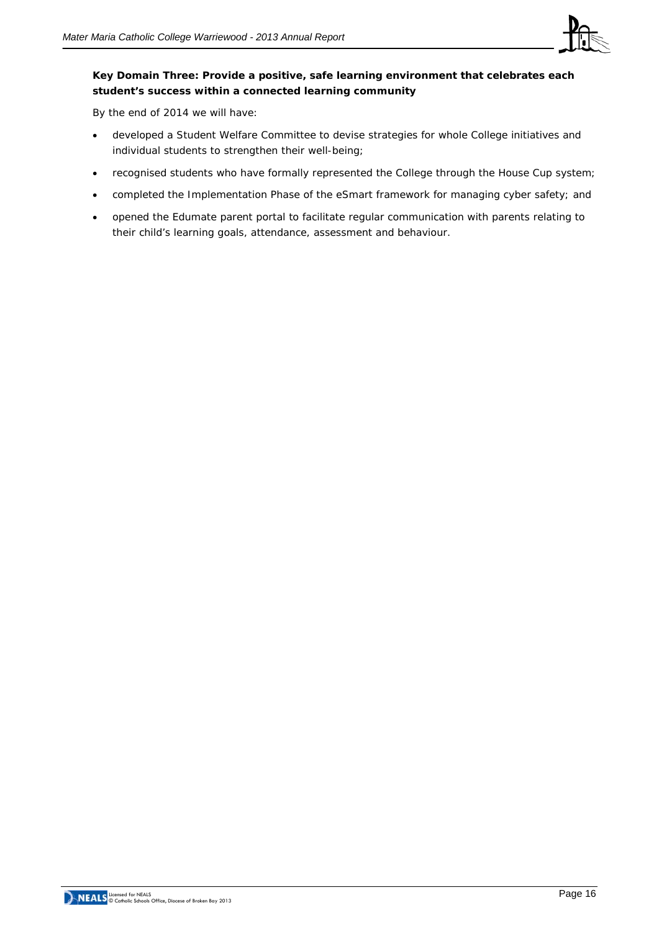

# **Key Domain Three: Provide a positive, safe learning environment that celebrates each student's success within a connected learning community**

By the end of 2014 we will have:

- developed a Student Welfare Committee to devise strategies for whole College initiatives and individual students to strengthen their well-being;
- recognised students who have formally represented the College through the House Cup system;
- completed the Implementation Phase of the eSmart framework for managing cyber safety; and
- opened the Edumate parent portal to facilitate regular communication with parents relating to their child's learning goals, attendance, assessment and behaviour.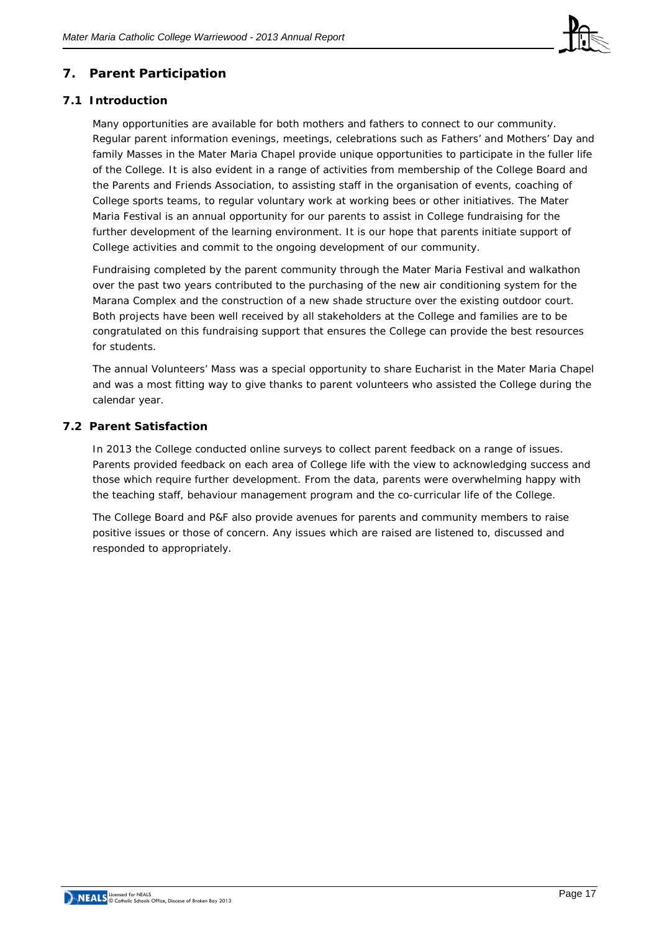

# **7. Parent Participation**

# **7.1 Introduction**

Many opportunities are available for both mothers and fathers to connect to our community. Regular parent information evenings, meetings, celebrations such as Fathers' and Mothers' Day and family Masses in the Mater Maria Chapel provide unique opportunities to participate in the fuller life of the College. It is also evident in a range of activities from membership of the College Board and the Parents and Friends Association, to assisting staff in the organisation of events, coaching of College sports teams, to regular voluntary work at working bees or other initiatives. The Mater Maria Festival is an annual opportunity for our parents to assist in College fundraising for the further development of the learning environment. It is our hope that parents initiate support of College activities and commit to the ongoing development of our community.

Fundraising completed by the parent community through the Mater Maria Festival and walkathon over the past two years contributed to the purchasing of the new air conditioning system for the Marana Complex and the construction of a new shade structure over the existing outdoor court. Both projects have been well received by all stakeholders at the College and families are to be congratulated on this fundraising support that ensures the College can provide the best resources for students.

The annual Volunteers' Mass was a special opportunity to share Eucharist in the Mater Maria Chapel and was a most fitting way to give thanks to parent volunteers who assisted the College during the calendar year.

# **7.2 Parent Satisfaction**

In 2013 the College conducted online surveys to collect parent feedback on a range of issues. Parents provided feedback on each area of College life with the view to acknowledging success and those which require further development. From the data, parents were overwhelming happy with the teaching staff, behaviour management program and the co-curricular life of the College.

The College Board and P&F also provide avenues for parents and community members to raise positive issues or those of concern. Any issues which are raised are listened to, discussed and responded to appropriately.